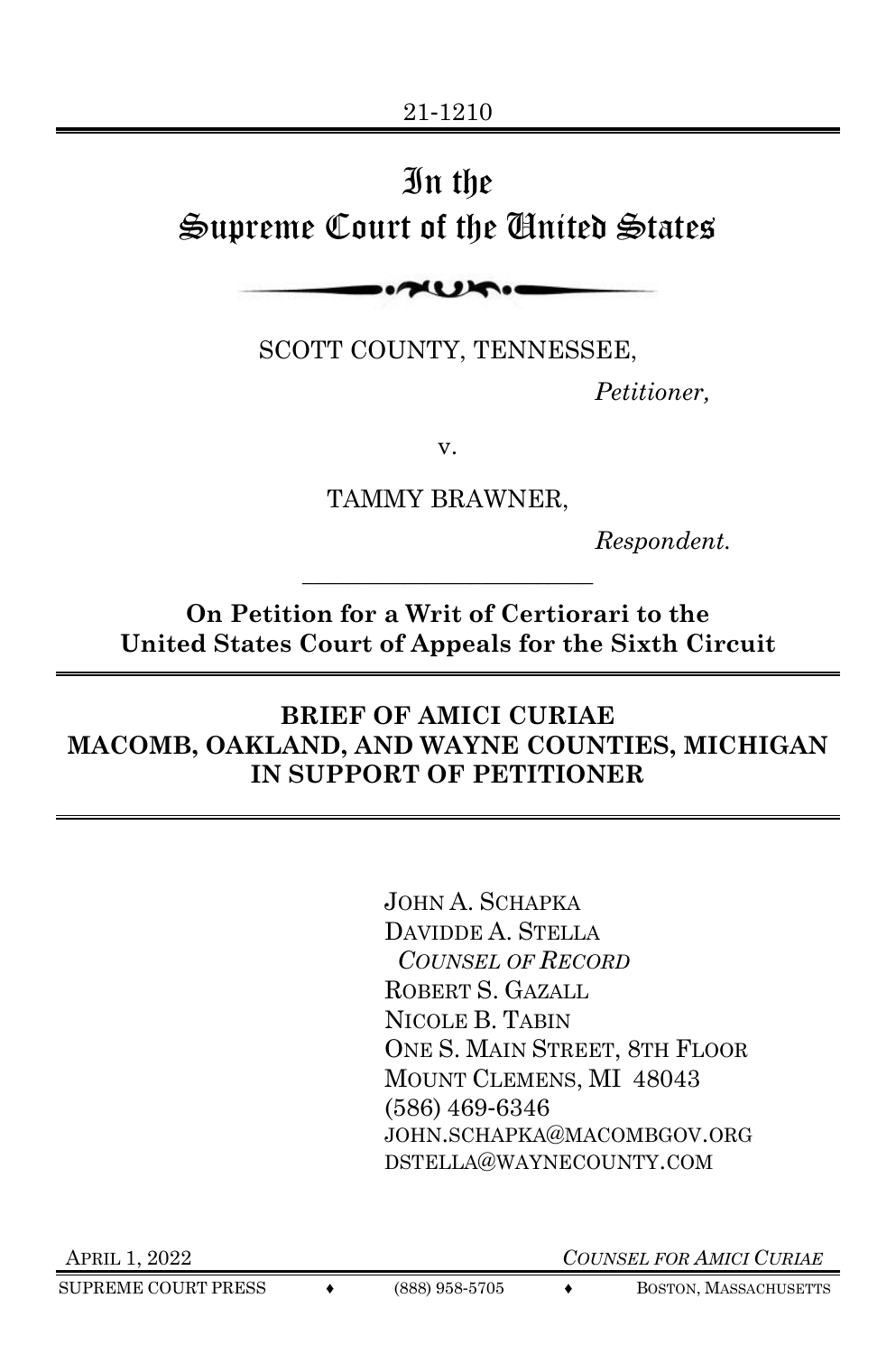# In the Supreme Court of the United States

 $\sim$ 

SCOTT COUNTY, TENNESSEE,

*Petitioner,*

v.

TAMMY BRAWNER,

*Respondent.*

**On Petition for a Writ of Certiorari to the United States Court of Appeals for the Sixth Circuit**

\_\_\_\_\_\_\_\_\_\_\_\_\_\_\_\_\_\_\_\_\_\_\_\_\_\_

### **BRIEF OF AMICI CURIAE MACOMB, OAKLAND, AND WAYNE COUNTIES, MICHIGAN IN SUPPORT OF PETITIONER**

JOHN A. SCHAPKA DAVIDDE A. STELLA *COUNSEL OF RECORD*  ROBERT S. GAZALL NICOLE B. TABIN ONE S. MAIN STREET, 8TH FLOOR MOUNT CLEMENS, MI 48043 (586) 469-6346 JOHN.SCHAPKA@MACOMBGOV.ORG DSTELLA@WAYNECOUNTY.COM

APRIL 1, 2022 *COUNSEL FOR AMICI CURIAE*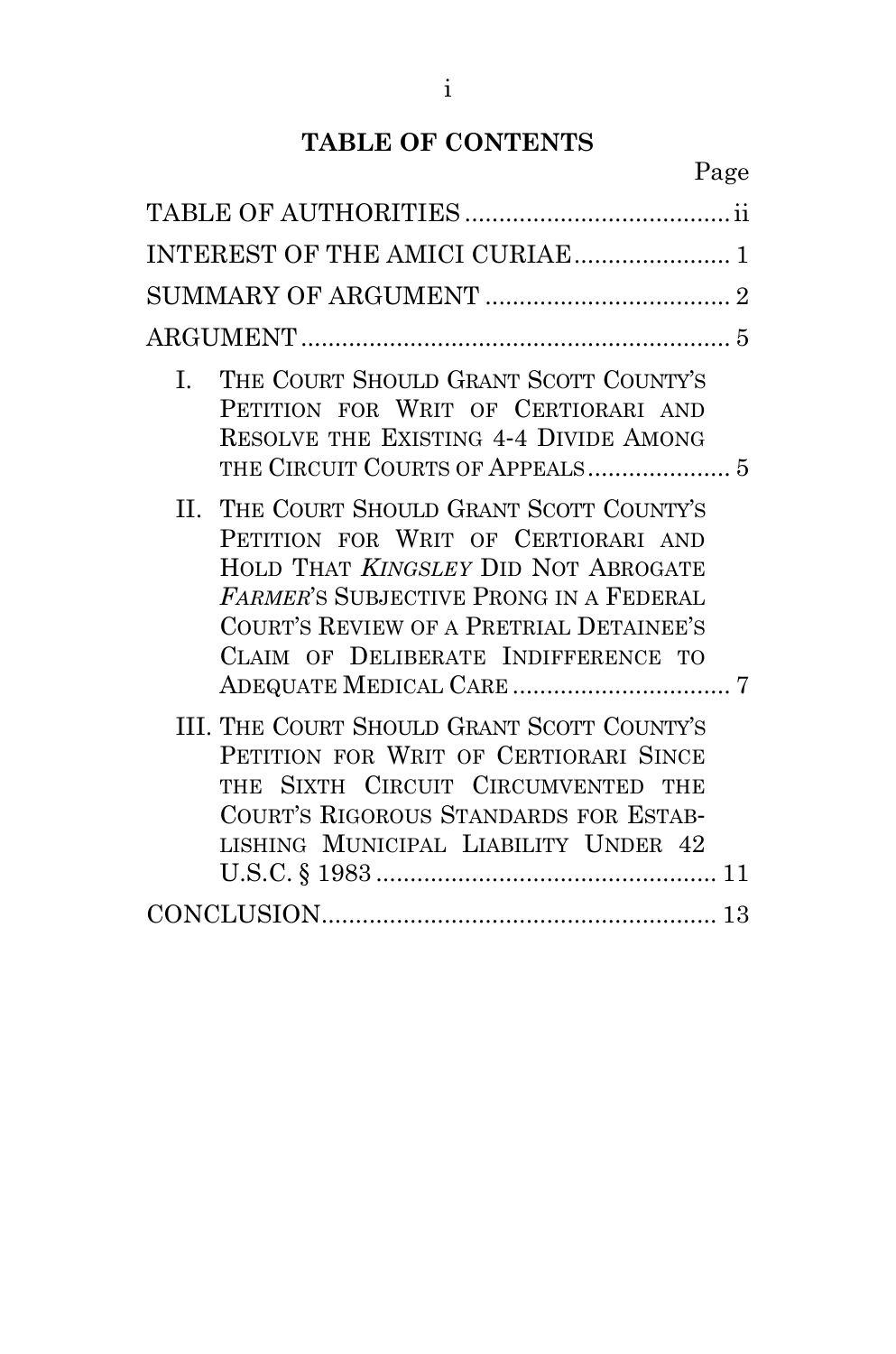# **TABLE OF CONTENTS**

| INTEREST OF THE AMICI CURIAE 1                                                                                                                                                                                                                                    |
|-------------------------------------------------------------------------------------------------------------------------------------------------------------------------------------------------------------------------------------------------------------------|
|                                                                                                                                                                                                                                                                   |
|                                                                                                                                                                                                                                                                   |
| THE COURT SHOULD GRANT SCOTT COUNTY'S<br>$\mathbf{L}$<br>PETITION FOR WRIT OF CERTIORARI AND<br>RESOLVE THE EXISTING 4-4 DIVIDE AMONG                                                                                                                             |
| II. THE COURT SHOULD GRANT SCOTT COUNTY'S<br>PETITION FOR WRIT OF CERTIORARI AND<br>HOLD THAT <i>KINGSLEY</i> DID NOT ABROGATE<br><b>FARMER'S SUBJECTIVE PRONG IN A FEDERAL</b><br>COURT'S REVIEW OF A PRETRIAL DETAINEE'S<br>CLAIM OF DELIBERATE INDIFFERENCE TO |
| III. THE COURT SHOULD GRANT SCOTT COUNTY'S<br>PETITION FOR WRIT OF CERTIORARI SINCE<br>THE SIXTH CIRCUIT CIRCUMVENTED THE<br>COURT'S RIGOROUS STANDARDS FOR ESTAB-<br>LISHING MUNICIPAL LIABILITY UNDER 42                                                        |
|                                                                                                                                                                                                                                                                   |
|                                                                                                                                                                                                                                                                   |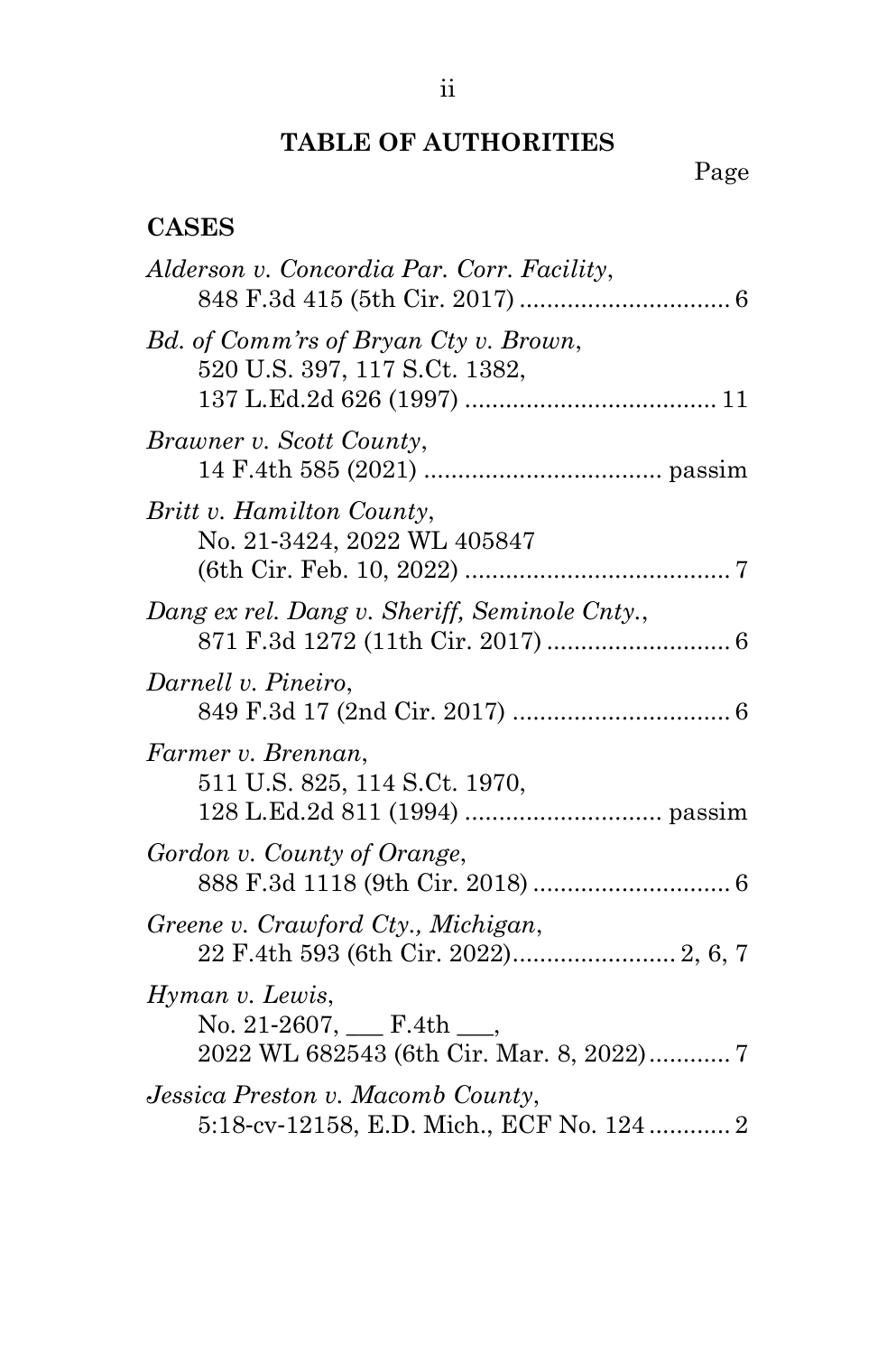# **TABLE OF AUTHORITIES**

# Page

## <span id="page-2-0"></span>**CASES**

| Alderson v. Concordia Par. Corr. Facility,                                                      |
|-------------------------------------------------------------------------------------------------|
| Bd. of Comm'rs of Bryan Cty v. Brown,<br>520 U.S. 397, 117 S.Ct. 1382,                          |
| Brawner v. Scott County,                                                                        |
| Britt v. Hamilton County,<br>No. 21-3424, 2022 WL 405847                                        |
| Dang ex rel. Dang v. Sheriff, Seminole Cnty.,                                                   |
| Darnell v. Pineiro,                                                                             |
| Farmer v. Brennan,<br>511 U.S. 825, 114 S.Ct. 1970,                                             |
| Gordon v. County of Orange,                                                                     |
| Greene v. Crawford Cty., Michigan,                                                              |
| Hyman v. Lewis,<br>No. 21-2607, $\_\_$ F.4th $\_\_$<br>2022 WL 682543 (6th Cir. Mar. 8, 2022) 7 |
| Jessica Preston v. Macomb County,<br>5:18-cv-12158, E.D. Mich., ECF No. 124  2                  |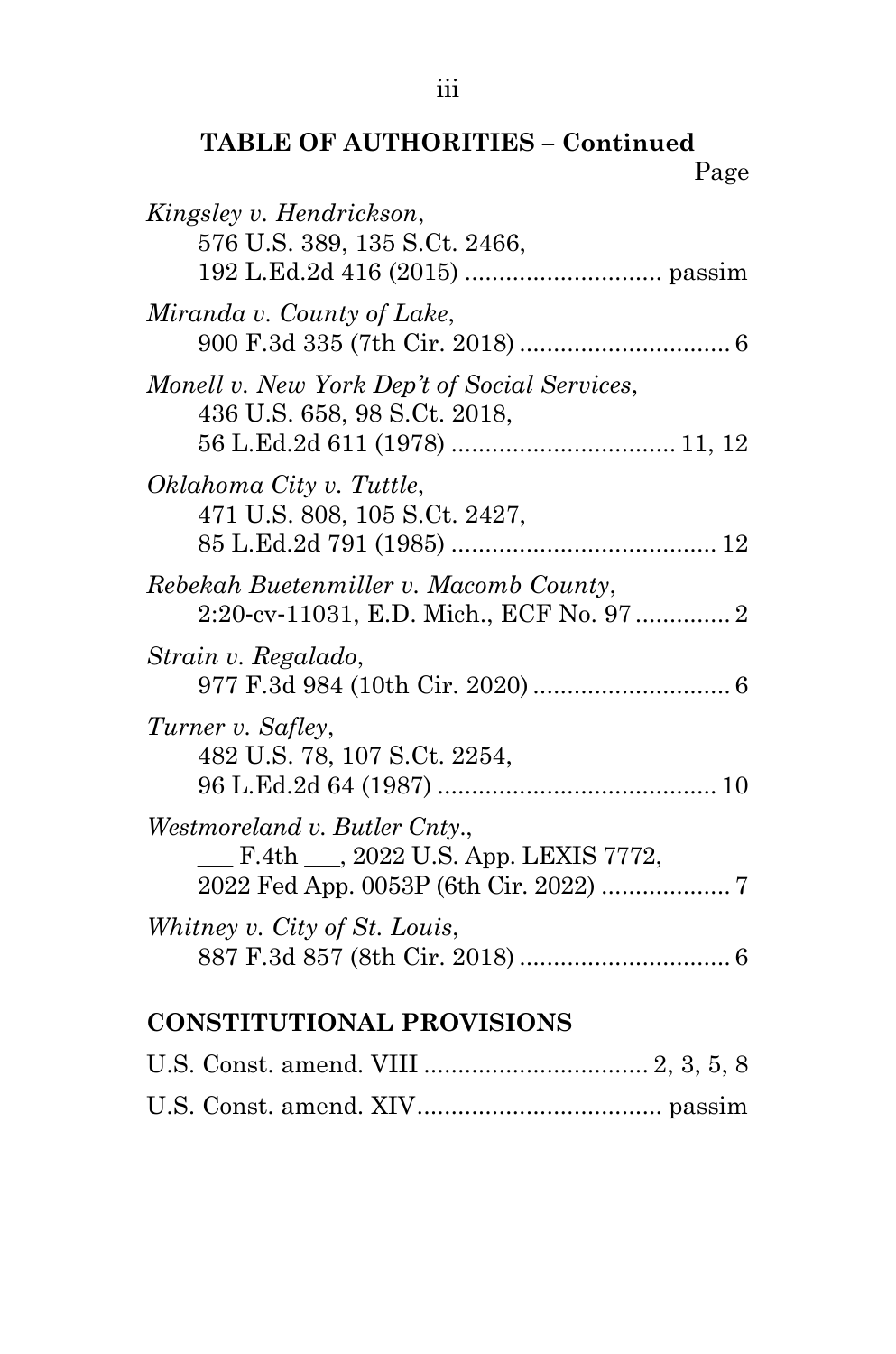## **TABLE OF AUTHORITIES – Continued** Page

| Kingsley v. Hendrickson,<br>576 U.S. 389, 135 S.Ct. 2466,                          |
|------------------------------------------------------------------------------------|
| Miranda v. County of Lake,                                                         |
| Monell v. New York Dep't of Social Services,<br>436 U.S. 658, 98 S.Ct. 2018,       |
| Oklahoma City v. Tuttle,<br>471 U.S. 808, 105 S.Ct. 2427,                          |
| Rebekah Buetenmiller v. Macomb County,<br>2:20-cv-11031, E.D. Mich., ECF No. 97  2 |
| Strain v. Regalado,                                                                |
| Turner v. Safley,<br>482 U.S. 78, 107 S.Ct. 2254,                                  |
| Westmoreland v. Butler Cnty.,<br>F.4th __, 2022 U.S. App. LEXIS 7772,              |
| Whitney v. City of St. Louis,                                                      |
| $\mathbf{r}$ nn $\mathbf{r}$ $\mathbf{r}$<br>. т. н                                |

# **CONSTITUTIONAL PROVISIONS**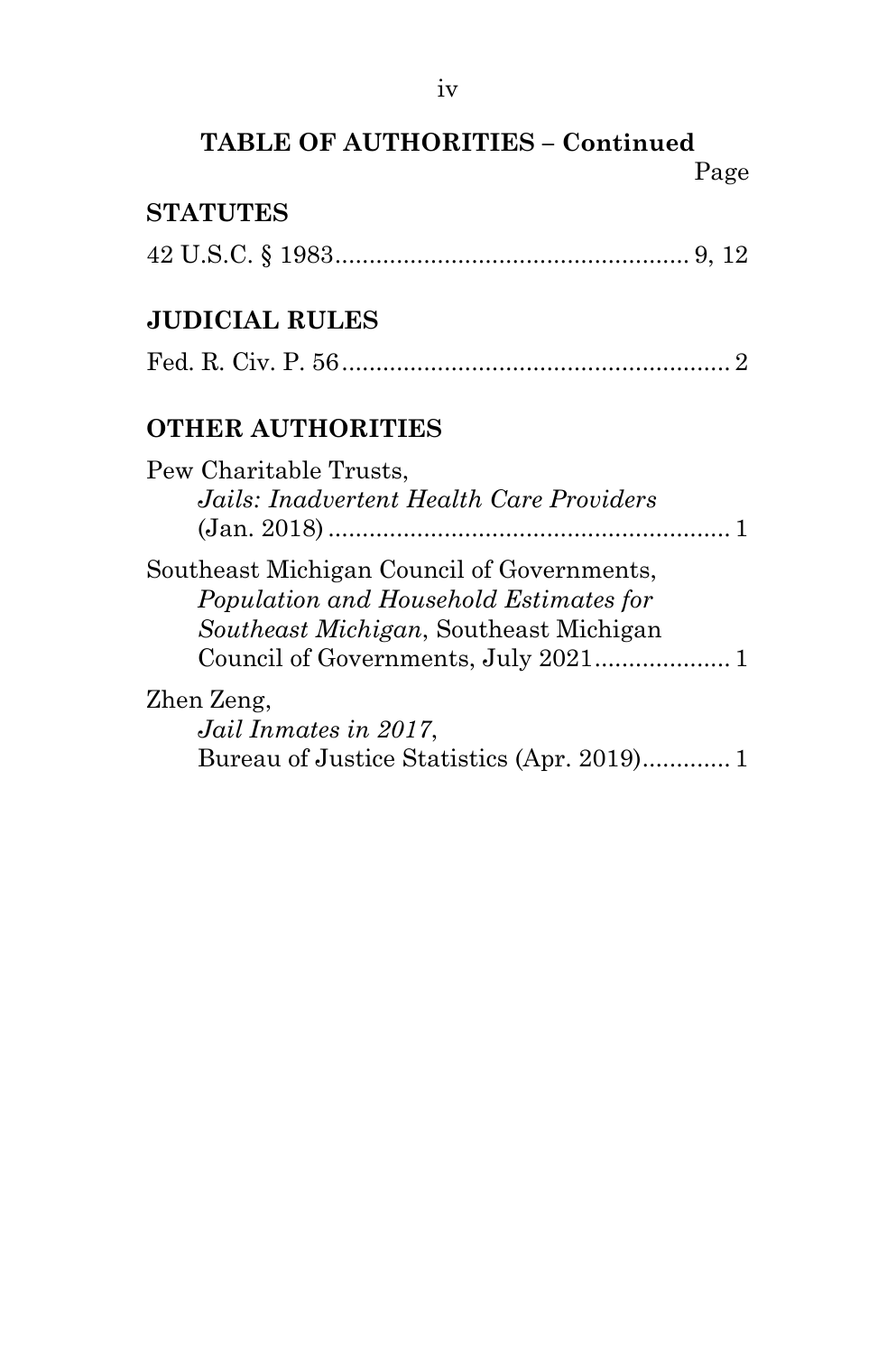## **TABLE OF AUTHORITIES – Continued** Page

## **STATUTES**

|--|--|--|--|--|--|--|

## **JUDICIAL RULES**

|--|--|--|--|--|

## **OTHER AUTHORITIES**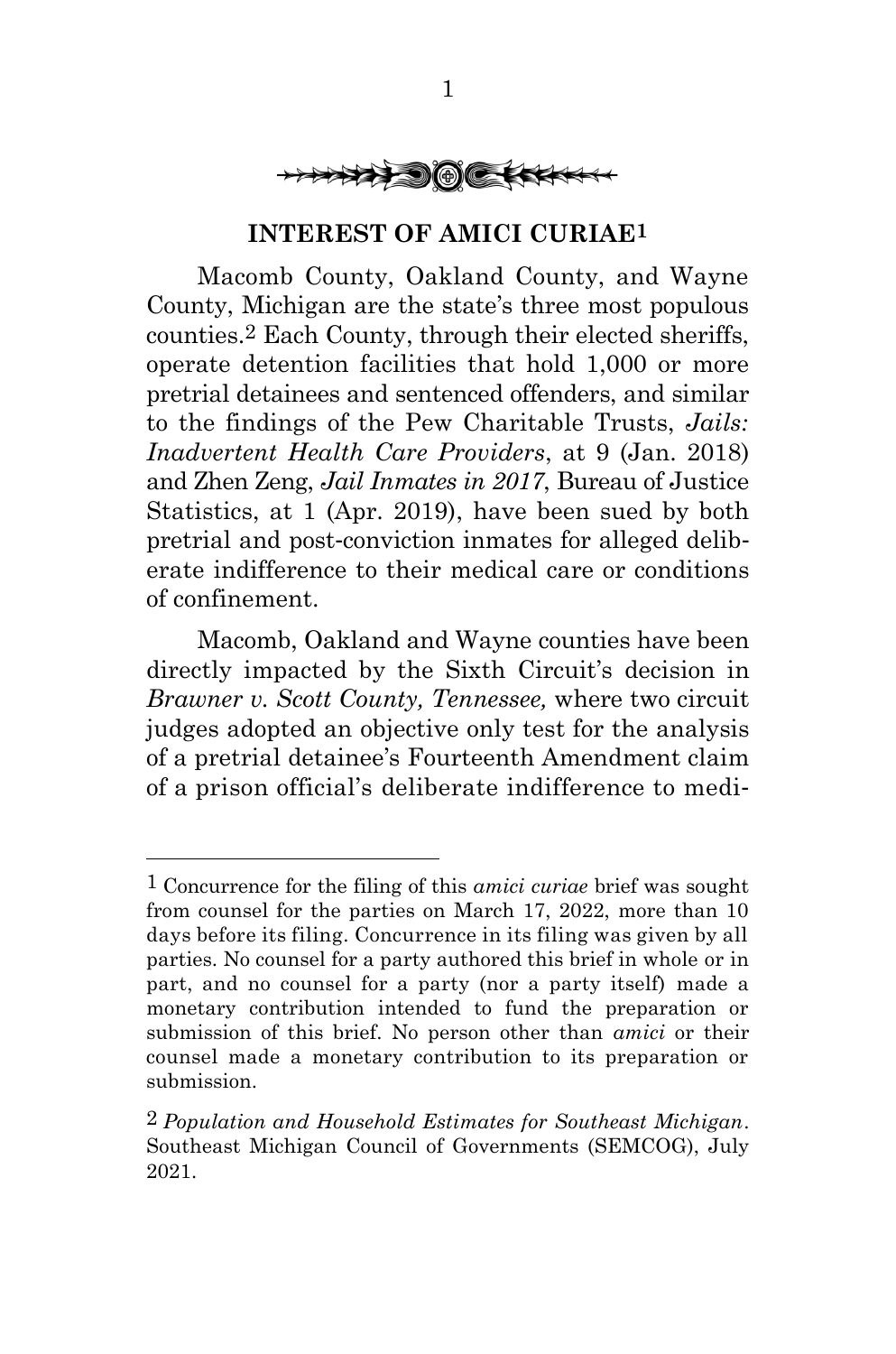

#### **INTEREST OF AMICI CURIAE1**

<span id="page-5-0"></span>Macomb County, Oakland County, and Wayne County, Michigan are the state's three most populous counties.2 Each County, through their elected sheriffs, operate detention facilities that hold 1,000 or more pretrial detainees and sentenced offenders, and similar to the findings of the Pew Charitable Trusts, *Jails: Inadvertent Health Care Providers*, at 9 (Jan. 2018) and Zhen Zeng, *Jail Inmates in 2017*, Bureau of Justice Statistics, at 1 (Apr. 2019), have been sued by both pretrial and post-conviction inmates for alleged deliberate indifference to their medical care or conditions of confinement.

Macomb, Oakland and Wayne counties have been directly impacted by the Sixth Circuit's decision in *Brawner v. Scott County, Tennessee,* where two circuit judges adopted an objective only test for the analysis of a pretrial detainee's Fourteenth Amendment claim of a prison official's deliberate indifference to medi-

<sup>1</sup> Concurrence for the filing of this *amici curiae* brief was sought from counsel for the parties on March 17, 2022, more than 10 days before its filing. Concurrence in its filing was given by all parties. No counsel for a party authored this brief in whole or in part, and no counsel for a party (nor a party itself) made a monetary contribution intended to fund the preparation or submission of this brief. No person other than *amici* or their counsel made a monetary contribution to its preparation or submission.

<sup>2</sup> *Population and Household Estimates for Southeast Michigan*. Southeast Michigan Council of Governments (SEMCOG), July 2021.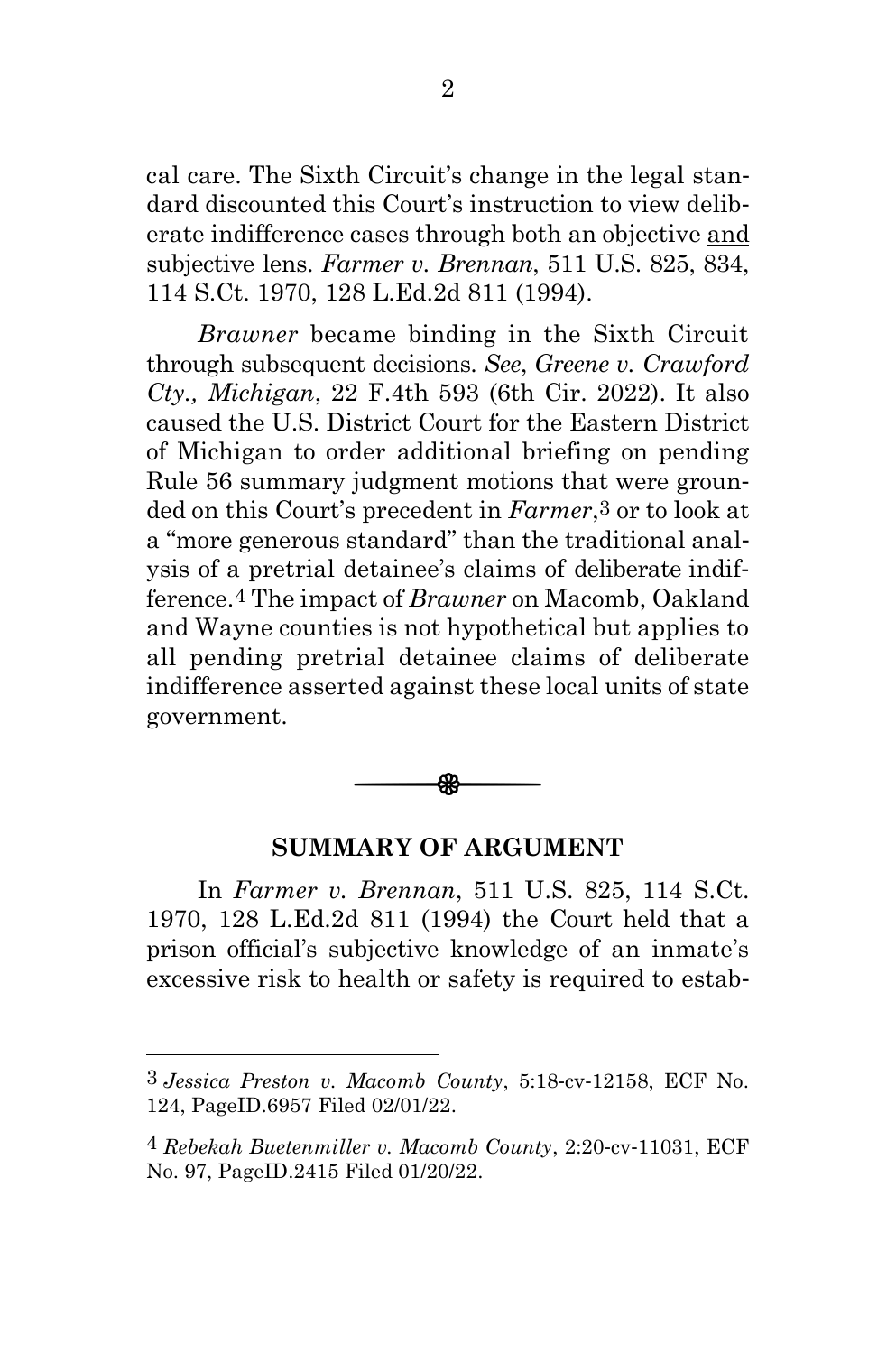cal care. The Sixth Circuit's change in the legal standard discounted this Court's instruction to view deliberate indifference cases through both an objective and subjective lens. *Farmer v. Brennan*, 511 U.S. 825, 834, 114 S.Ct. 1970, 128 L.Ed.2d 811 (1994).

*Brawner* became binding in the Sixth Circuit through subsequent decisions. *See*, *Greene v. Crawford Cty., Michigan*, 22 F.4th 593 (6th Cir. 2022). It also caused the U.S. District Court for the Eastern District of Michigan to order additional briefing on pending Rule 56 summary judgment motions that were grounded on this Court's precedent in *Farmer*,3 or to look at a "more generous standard" than the traditional analysis of a pretrial detainee's claims of deliberate indifference.4 The impact of *Brawner* on Macomb, Oakland and Wayne counties is not hypothetical but applies to all pending pretrial detainee claims of deliberate indifference asserted against these local units of state government.



#### **SUMMARY OF ARGUMENT**

<span id="page-6-0"></span>In *Farmer v. Brennan*, 511 U.S. 825, 114 S.Ct. 1970, 128 L.Ed.2d 811 (1994) the Court held that a prison official's subjective knowledge of an inmate's excessive risk to health or safety is required to estab-

<sup>3</sup> *Jessica Preston v. Macomb County*, 5:18-cv-12158, ECF No. 124, PageID.6957 Filed 02/01/22.

<sup>4</sup> *Rebekah Buetenmiller v. Macomb County*, 2:20-cv-11031, ECF No. 97, PageID.2415 Filed 01/20/22.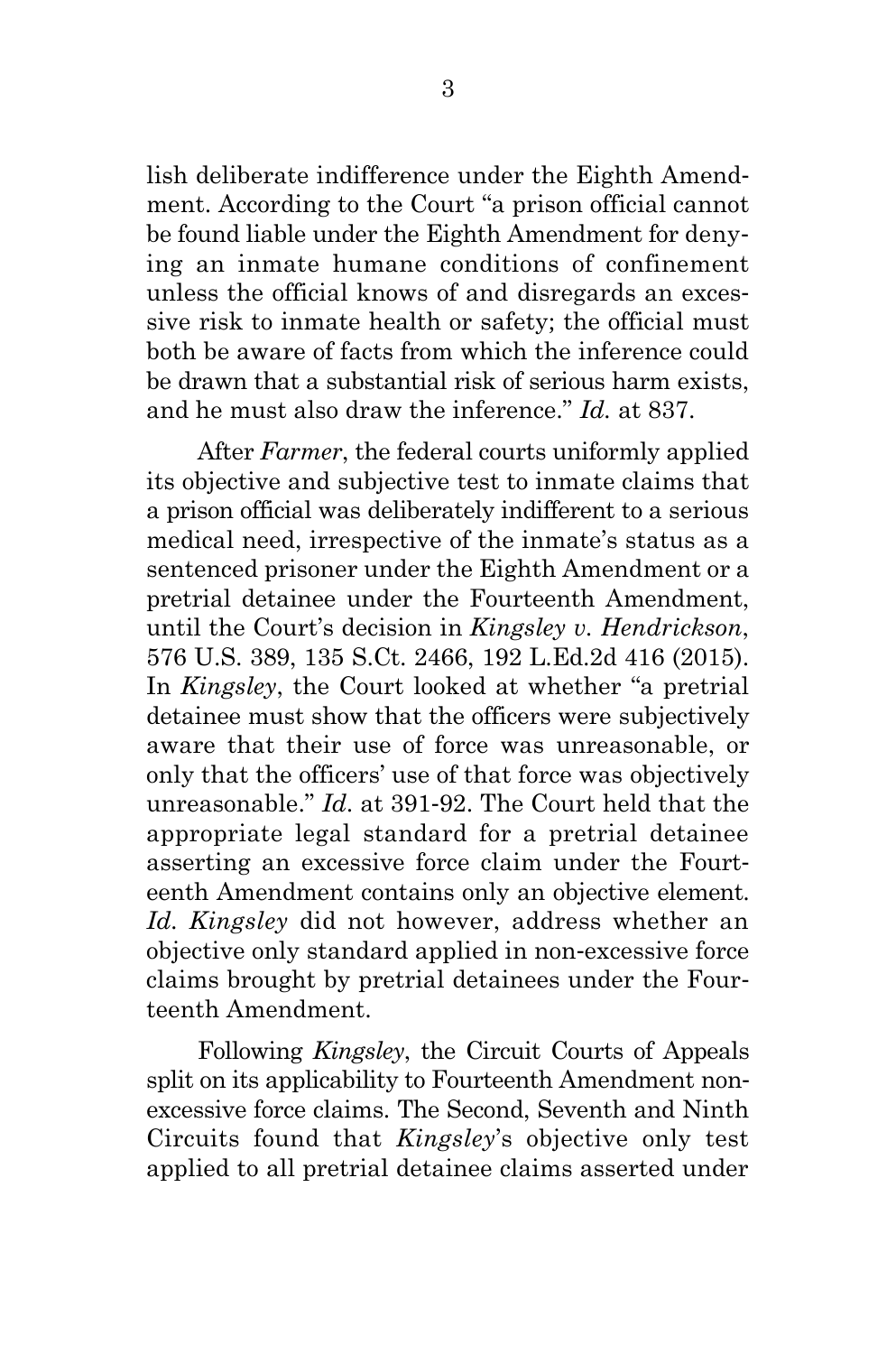lish deliberate indifference under the Eighth Amendment. According to the Court "a prison official cannot be found liable under the Eighth Amendment for denying an inmate humane conditions of confinement unless the official knows of and disregards an excessive risk to inmate health or safety; the official must both be aware of facts from which the inference could be drawn that a substantial risk of serious harm exists, and he must also draw the inference." *Id.* at 837.

After *Farmer*, the federal courts uniformly applied its objective and subjective test to inmate claims that a prison official was deliberately indifferent to a serious medical need, irrespective of the inmate's status as a sentenced prisoner under the Eighth Amendment or a pretrial detainee under the Fourteenth Amendment, until the Court's decision in *Kingsley v. Hendrickson*, 576 U.S. 389, 135 S.Ct. 2466, 192 L.Ed.2d 416 (2015). In *Kingsley*, the Court looked at whether "a pretrial detainee must show that the officers were subjectively aware that their use of force was unreasonable, or only that the officers' use of that force was objectively unreasonable." *Id*. at 391-92. The Court held that the appropriate legal standard for a pretrial detainee asserting an excessive force claim under the Fourteenth Amendment contains only an objective element. *Id*. *Kingsley* did not however, address whether an objective only standard applied in non-excessive force claims brought by pretrial detainees under the Fourteenth Amendment.

Following *Kingsley*, the Circuit Courts of Appeals split on its applicability to Fourteenth Amendment nonexcessive force claims. The Second, Seventh and Ninth Circuits found that *Kingsley*'s objective only test applied to all pretrial detainee claims asserted under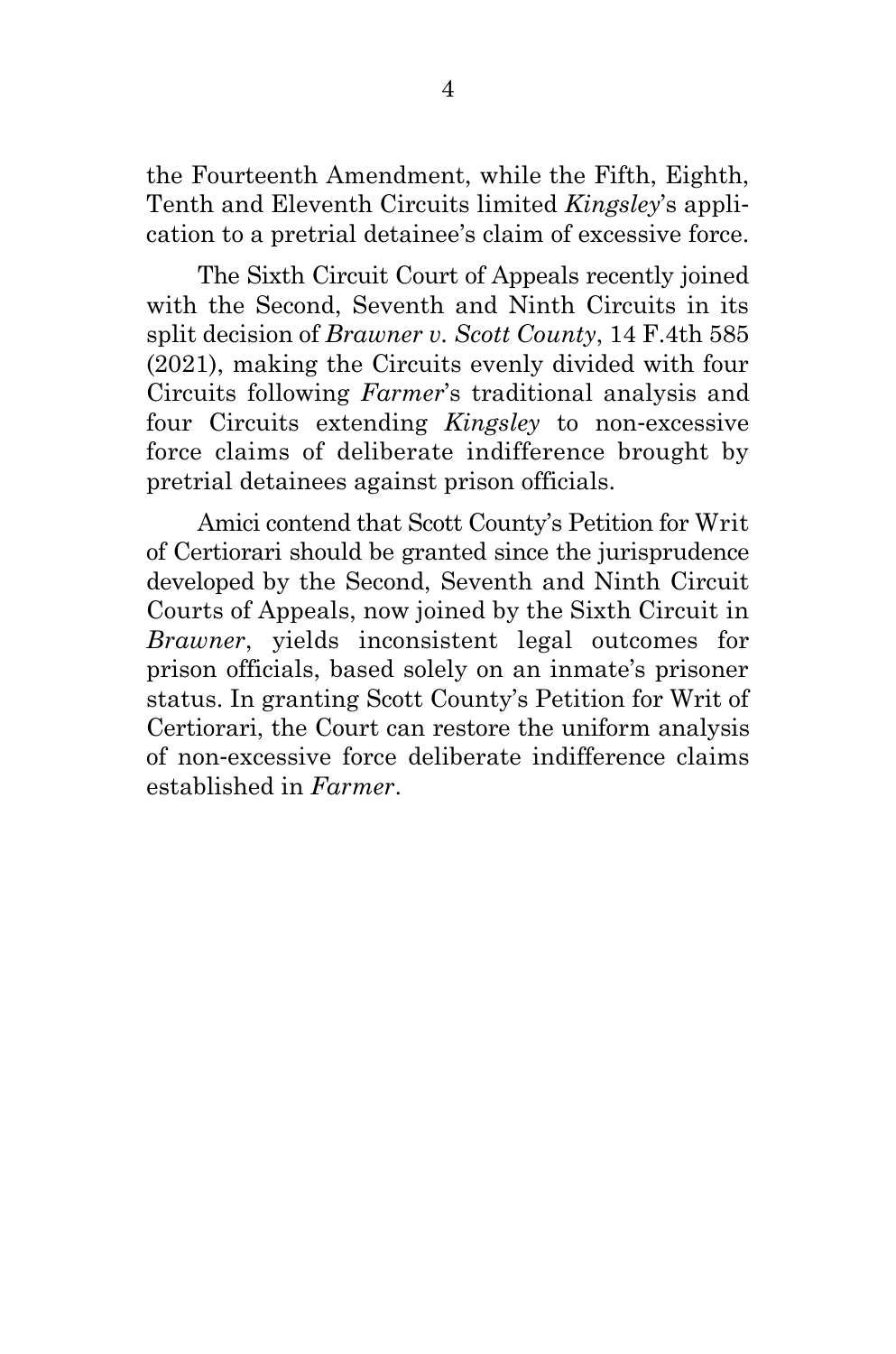the Fourteenth Amendment, while the Fifth, Eighth, Tenth and Eleventh Circuits limited *Kingsley*'s application to a pretrial detainee's claim of excessive force.

The Sixth Circuit Court of Appeals recently joined with the Second, Seventh and Ninth Circuits in its split decision of *Brawner v. Scott County*, 14 F.4th 585 (2021), making the Circuits evenly divided with four Circuits following *Farmer*'s traditional analysis and four Circuits extending *Kingsley* to non-excessive force claims of deliberate indifference brought by pretrial detainees against prison officials.

Amici contend that Scott County's Petition for Writ of Certiorari should be granted since the jurisprudence developed by the Second, Seventh and Ninth Circuit Courts of Appeals, now joined by the Sixth Circuit in *Brawner*, yields inconsistent legal outcomes for prison officials, based solely on an inmate's prisoner status. In granting Scott County's Petition for Writ of Certiorari, the Court can restore the uniform analysis of non-excessive force deliberate indifference claims established in *Farmer*.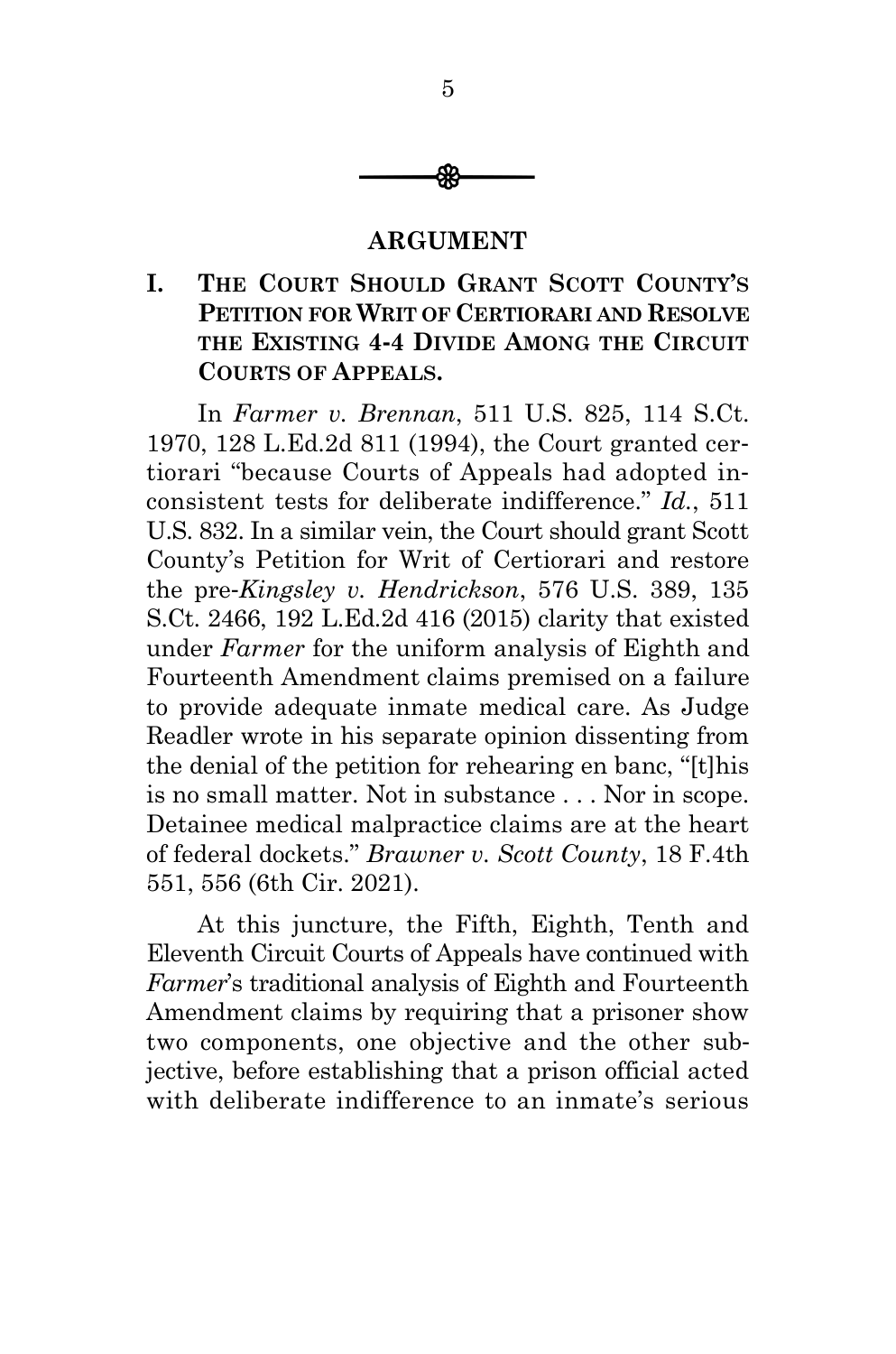

#### **ARGUMENT**

#### <span id="page-9-1"></span><span id="page-9-0"></span>**I. THE COURT SHOULD GRANT SCOTT COUNTY'S PETITION FOR WRIT OF CERTIORARI AND RESOLVE THE EXISTING 4-4 DIVIDE AMONG THE CIRCUIT COURTS OF APPEALS.**

In *Farmer v. Brennan*, 511 U.S. 825, 114 S.Ct. 1970, 128 L.Ed.2d 811 (1994), the Court granted certiorari "because Courts of Appeals had adopted inconsistent tests for deliberate indifference." *Id.*, 511 U.S. 832. In a similar vein, the Court should grant Scott County's Petition for Writ of Certiorari and restore the pre-*Kingsley v. Hendrickson*, 576 U.S. 389, 135 S.Ct. 2466, 192 L.Ed.2d 416 (2015) clarity that existed under *Farmer* for the uniform analysis of Eighth and Fourteenth Amendment claims premised on a failure to provide adequate inmate medical care. As Judge Readler wrote in his separate opinion dissenting from the denial of the petition for rehearing en banc, "[t]his is no small matter. Not in substance . . . Nor in scope. Detainee medical malpractice claims are at the heart of federal dockets." *Brawner v. Scott County*, 18 F.4th 551, 556 (6th Cir. 2021).

At this juncture, the Fifth, Eighth, Tenth and Eleventh Circuit Courts of Appeals have continued with *Farmer*'s traditional analysis of Eighth and Fourteenth Amendment claims by requiring that a prisoner show two components, one objective and the other subjective, before establishing that a prison official acted with deliberate indifference to an inmate's serious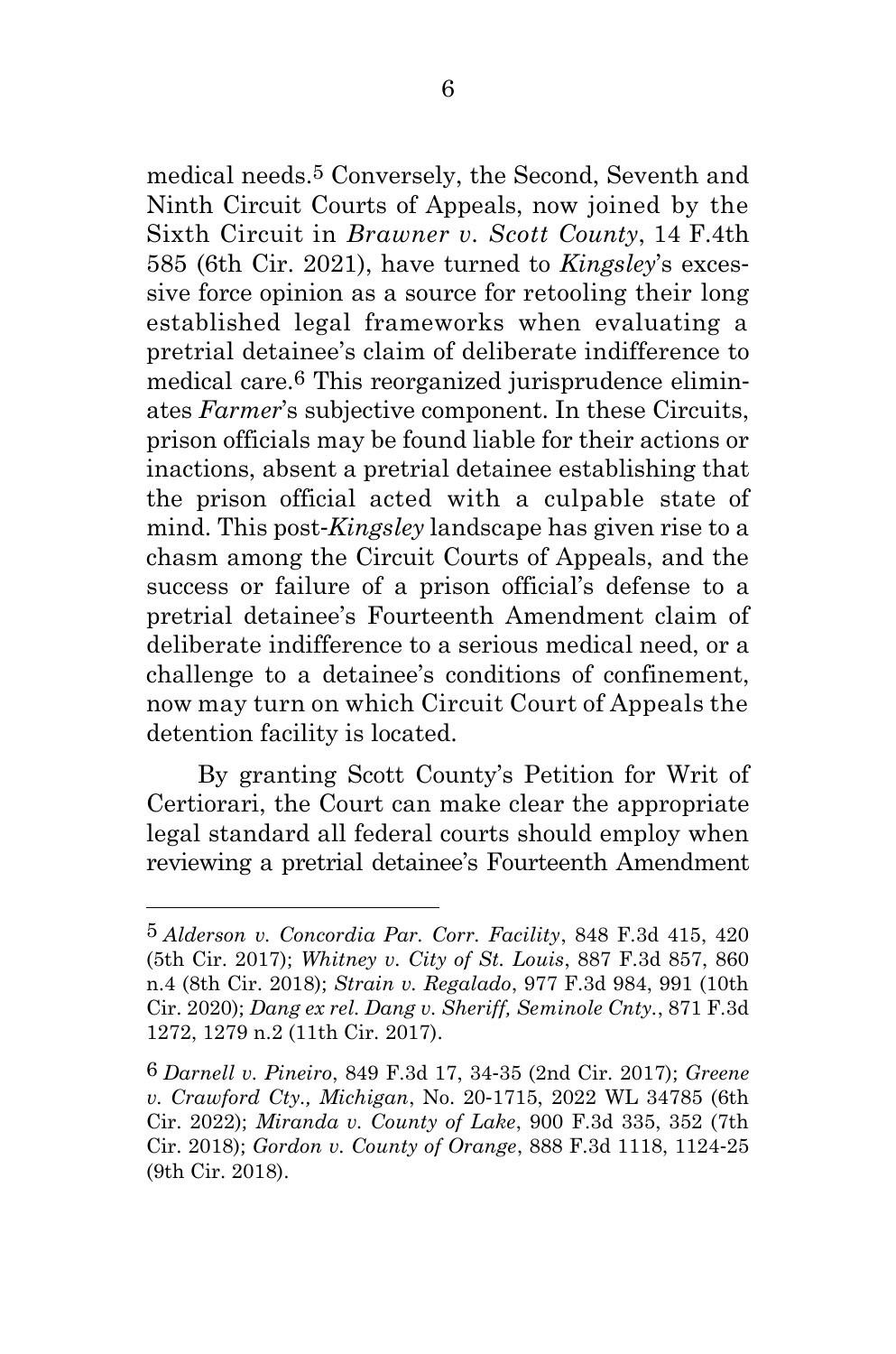medical needs.5 Conversely, the Second, Seventh and Ninth Circuit Courts of Appeals, now joined by the Sixth Circuit in *Brawner v. Scott County*, 14 F.4th 585 (6th Cir. 2021), have turned to *Kingsley*'s excessive force opinion as a source for retooling their long established legal frameworks when evaluating a pretrial detainee's claim of deliberate indifference to medical care.6 This reorganized jurisprudence eliminates *Farmer*'s subjective component. In these Circuits, prison officials may be found liable for their actions or inactions, absent a pretrial detainee establishing that the prison official acted with a culpable state of mind. This post-*Kingsley* landscape has given rise to a chasm among the Circuit Courts of Appeals, and the success or failure of a prison official's defense to a pretrial detainee's Fourteenth Amendment claim of deliberate indifference to a serious medical need, or a challenge to a detainee's conditions of confinement, now may turn on which Circuit Court of Appeals the detention facility is located.

By granting Scott County's Petition for Writ of Certiorari, the Court can make clear the appropriate legal standard all federal courts should employ when reviewing a pretrial detainee's Fourteenth Amendment

<sup>5</sup> *Alderson v. Concordia Par. Corr. Facility*, 848 F.3d 415, 420 (5th Cir. 2017); *Whitney v. City of St. Louis*, 887 F.3d 857, 860 n.4 (8th Cir. 2018); *Strain v. Regalado*, 977 F.3d 984, 991 (10th Cir. 2020); *Dang ex rel. Dang v. Sheriff, Seminole Cnty.*, 871 F.3d 1272, 1279 n.2 (11th Cir. 2017).

<sup>6</sup> *Darnell v. Pineiro*, 849 F.3d 17, 34-35 (2nd Cir. 2017); *Greene v. Crawford Cty., Michigan*, No. 20-1715, 2022 WL 34785 (6th Cir. 2022); *Miranda v. County of Lake*, 900 F.3d 335, 352 (7th Cir. 2018); *Gordon v. County of Orange*, 888 F.3d 1118, 1124-25 (9th Cir. 2018).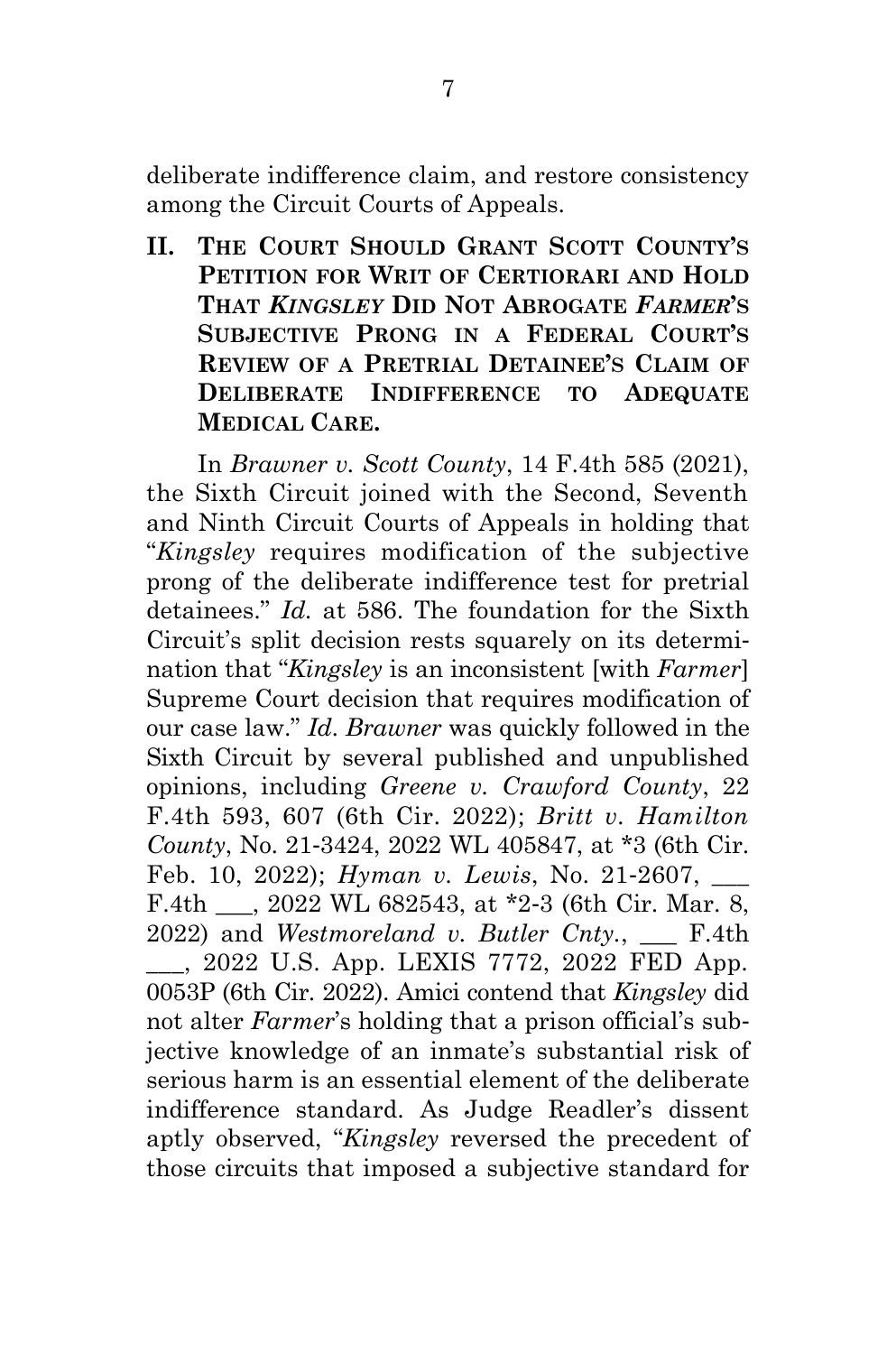deliberate indifference claim, and restore consistency among the Circuit Courts of Appeals.

<span id="page-11-0"></span>**II. THE COURT SHOULD GRANT SCOTT COUNTY'S PETITION FOR WRIT OF CERTIORARI AND HOLD THAT** *KINGSLEY* **DID NOT ABROGATE** *FARMER***'S SUBJECTIVE PRONG IN A FEDERAL COURT'S REVIEW OF A PRETRIAL DETAINEE'S CLAIM OF DELIBERATE INDIFFERENCE TO ADEQUATE MEDICAL CARE.**

In *Brawner v. Scott County*, 14 F.4th 585 (2021), the Sixth Circuit joined with the Second, Seventh and Ninth Circuit Courts of Appeals in holding that "*Kingsley* requires modification of the subjective prong of the deliberate indifference test for pretrial detainees." *Id.* at 586. The foundation for the Sixth Circuit's split decision rests squarely on its determination that "*Kingsley* is an inconsistent [with *Farmer*] Supreme Court decision that requires modification of our case law." *Id*. *Brawner* was quickly followed in the Sixth Circuit by several published and unpublished opinions, including *Greene v. Crawford County*, 22 F.4th 593, 607 (6th Cir. 2022); *Britt v. Hamilton County*, No. 21-3424, 2022 WL 405847, at \*3 (6th Cir. Feb. 10, 2022); *Hyman v. Lewis*, No. 21-2607, \_\_\_ F.4th \_\_\_, 2022 WL 682543, at \*2-3 (6th Cir. Mar. 8, 2022) and *Westmoreland v. Butler Cnty.*, \_\_\_ F.4th \_\_\_, 2022 U.S. App. LEXIS 7772, 2022 FED App. 0053P (6th Cir. 2022). Amici contend that *Kingsley* did not alter *Farmer*'s holding that a prison official's subjective knowledge of an inmate's substantial risk of serious harm is an essential element of the deliberate indifference standard. As Judge Readler's dissent aptly observed, "*Kingsley* reversed the precedent of those circuits that imposed a subjective standard for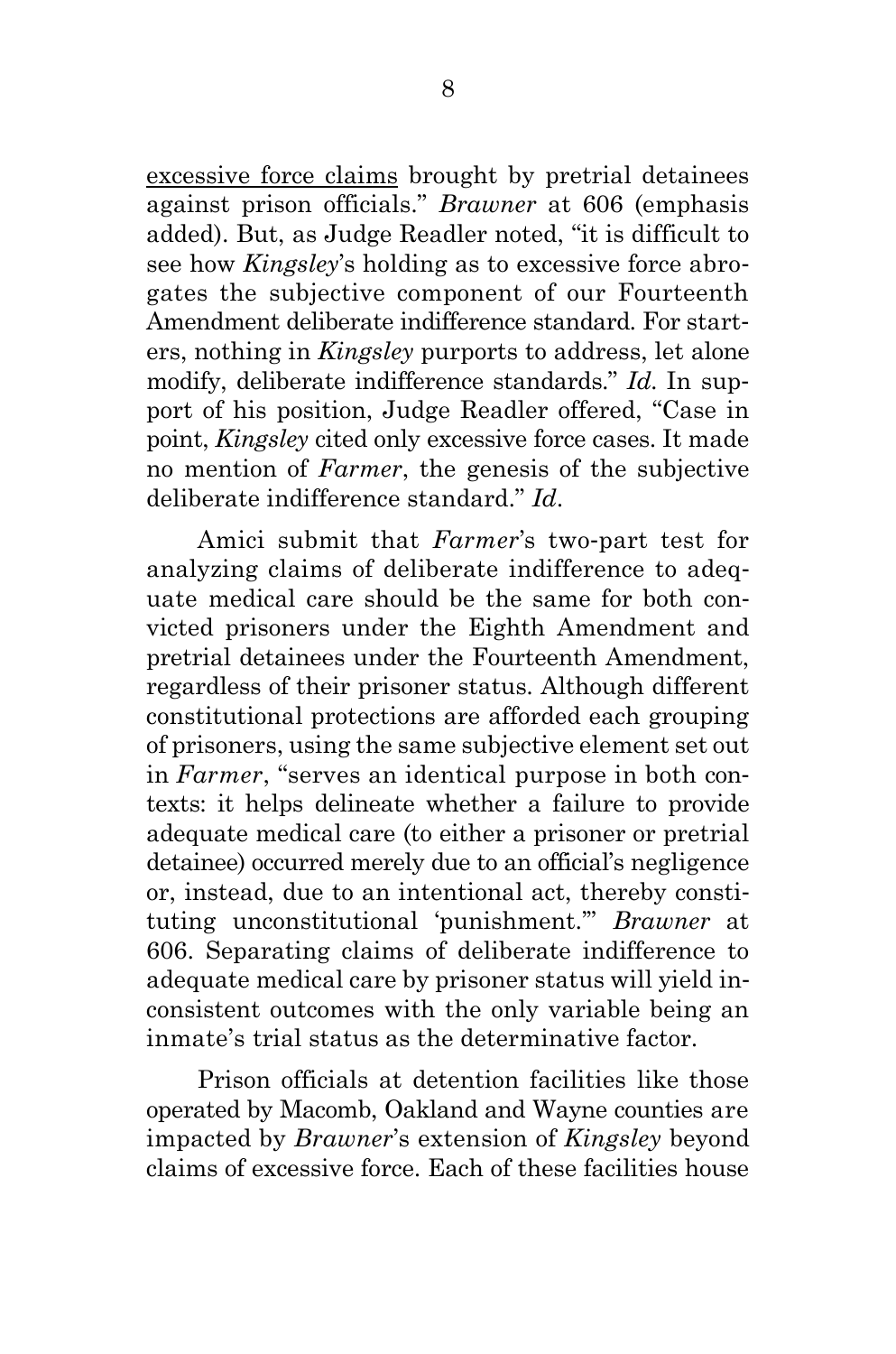excessive force claims brought by pretrial detainees against prison officials." *Brawner* at 606 (emphasis added). But, as Judge Readler noted, "it is difficult to see how *Kingsley*'s holding as to excessive force abrogates the subjective component of our Fourteenth Amendment deliberate indifference standard. For starters, nothing in *Kingsley* purports to address, let alone modify, deliberate indifference standards." *Id*. In support of his position, Judge Readler offered, "Case in point, *Kingsley* cited only excessive force cases. It made no mention of *Farmer*, the genesis of the subjective deliberate indifference standard." *Id*.

Amici submit that *Farmer*'s two-part test for analyzing claims of deliberate indifference to adequate medical care should be the same for both convicted prisoners under the Eighth Amendment and pretrial detainees under the Fourteenth Amendment, regardless of their prisoner status. Although different constitutional protections are afforded each grouping of prisoners, using the same subjective element set out in *Farmer*, "serves an identical purpose in both contexts: it helps delineate whether a failure to provide adequate medical care (to either a prisoner or pretrial detainee) occurred merely due to an official's negligence or, instead, due to an intentional act, thereby constituting unconstitutional 'punishment.'" *Brawner* at 606. Separating claims of deliberate indifference to adequate medical care by prisoner status will yield inconsistent outcomes with the only variable being an inmate's trial status as the determinative factor.

Prison officials at detention facilities like those operated by Macomb, Oakland and Wayne counties are impacted by *Brawner*'s extension of *Kingsley* beyond claims of excessive force. Each of these facilities house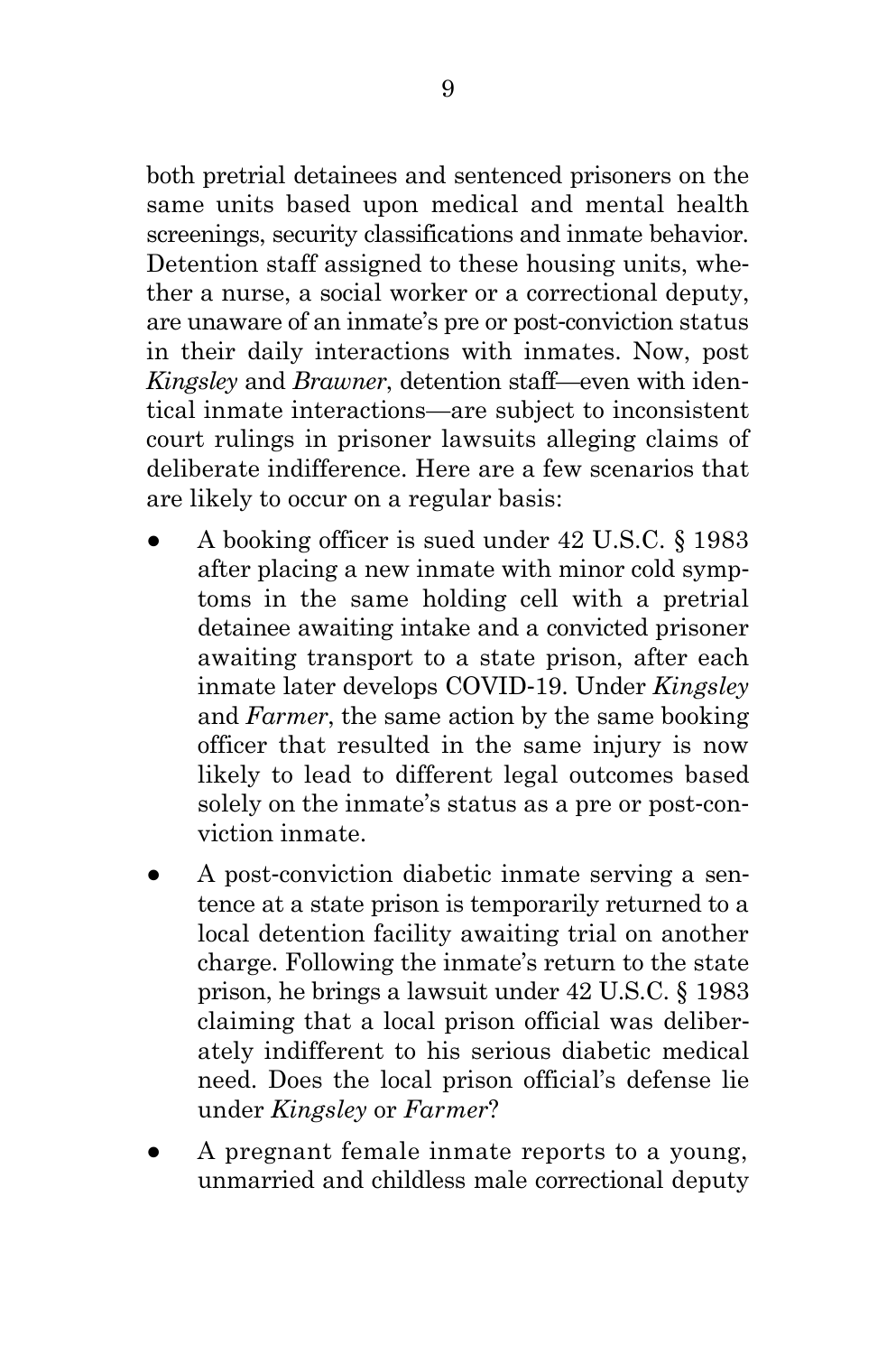both pretrial detainees and sentenced prisoners on the same units based upon medical and mental health screenings, security classifications and inmate behavior. Detention staff assigned to these housing units, whether a nurse, a social worker or a correctional deputy, are unaware of an inmate's pre or post-conviction status in their daily interactions with inmates. Now, post *Kingsley* and *Brawner*, detention staff—even with identical inmate interactions—are subject to inconsistent court rulings in prisoner lawsuits alleging claims of deliberate indifference. Here are a few scenarios that are likely to occur on a regular basis:

- A booking officer is sued under 42 U.S.C. § 1983 after placing a new inmate with minor cold symptoms in the same holding cell with a pretrial detainee awaiting intake and a convicted prisoner awaiting transport to a state prison, after each inmate later develops COVID-19. Under *Kingsley* and *Farmer*, the same action by the same booking officer that resulted in the same injury is now likely to lead to different legal outcomes based solely on the inmate's status as a pre or post-conviction inmate.
- A post-conviction diabetic inmate serving a sentence at a state prison is temporarily returned to a local detention facility awaiting trial on another charge. Following the inmate's return to the state prison, he brings a lawsuit under 42 U.S.C. § 1983 claiming that a local prison official was deliberately indifferent to his serious diabetic medical need. Does the local prison official's defense lie under *Kingsley* or *Farmer*?
- A pregnant female inmate reports to a young, unmarried and childless male correctional deputy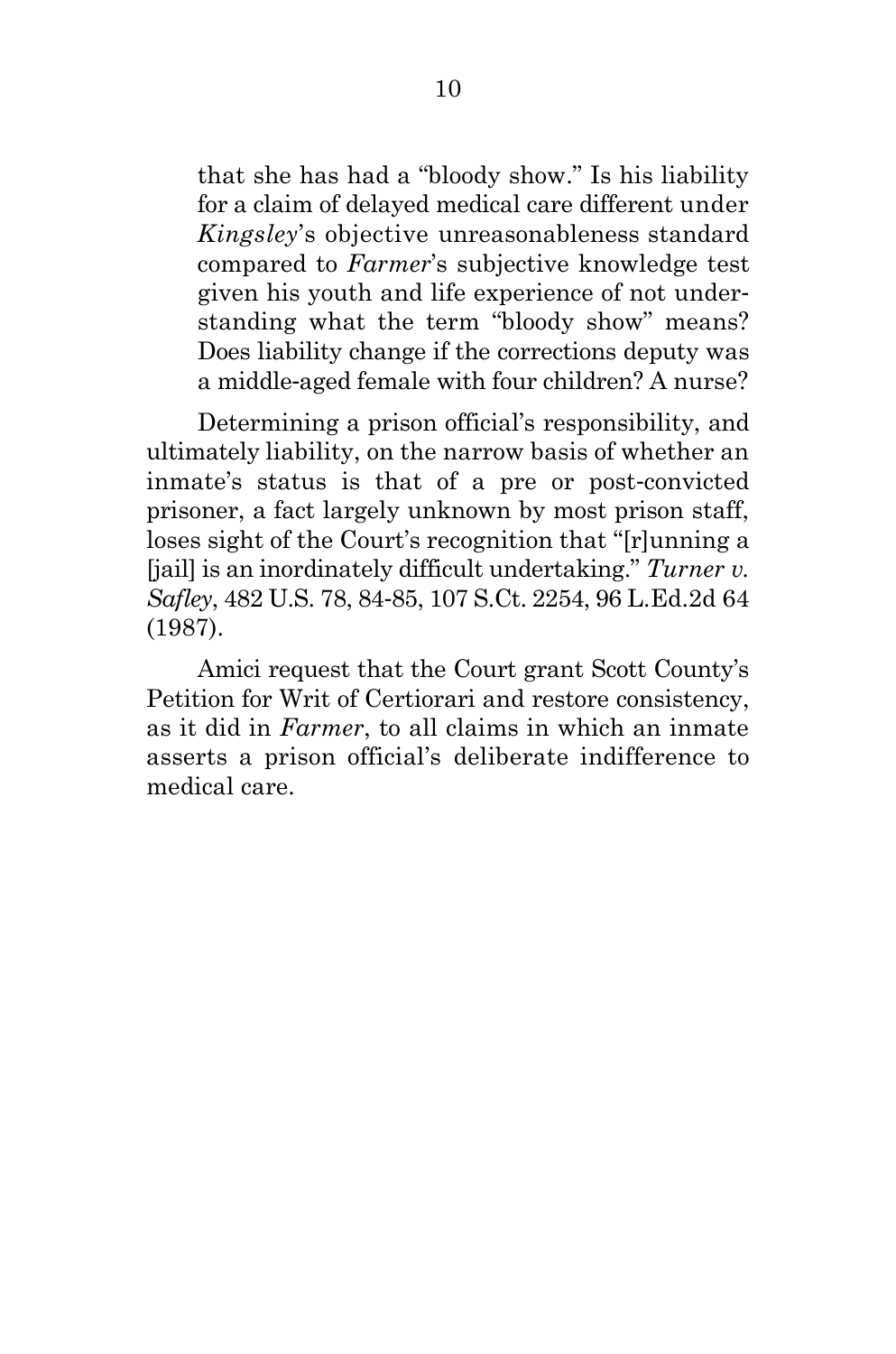that she has had a "bloody show." Is his liability for a claim of delayed medical care different under *Kingsley*'s objective unreasonableness standard compared to *Farmer*'s subjective knowledge test given his youth and life experience of not understanding what the term "bloody show" means? Does liability change if the corrections deputy was a middle-aged female with four children? A nurse?

Determining a prison official's responsibility, and ultimately liability, on the narrow basis of whether an inmate's status is that of a pre or post-convicted prisoner, a fact largely unknown by most prison staff, loses sight of the Court's recognition that "[r]unning a [jail] is an inordinately difficult undertaking." *Turner v. Safley*, 482 U.S. 78, 84-85, 107 S.Ct. 2254, 96 L.Ed.2d 64 (1987).

Amici request that the Court grant Scott County's Petition for Writ of Certiorari and restore consistency, as it did in *Farmer*, to all claims in which an inmate asserts a prison official's deliberate indifference to medical care.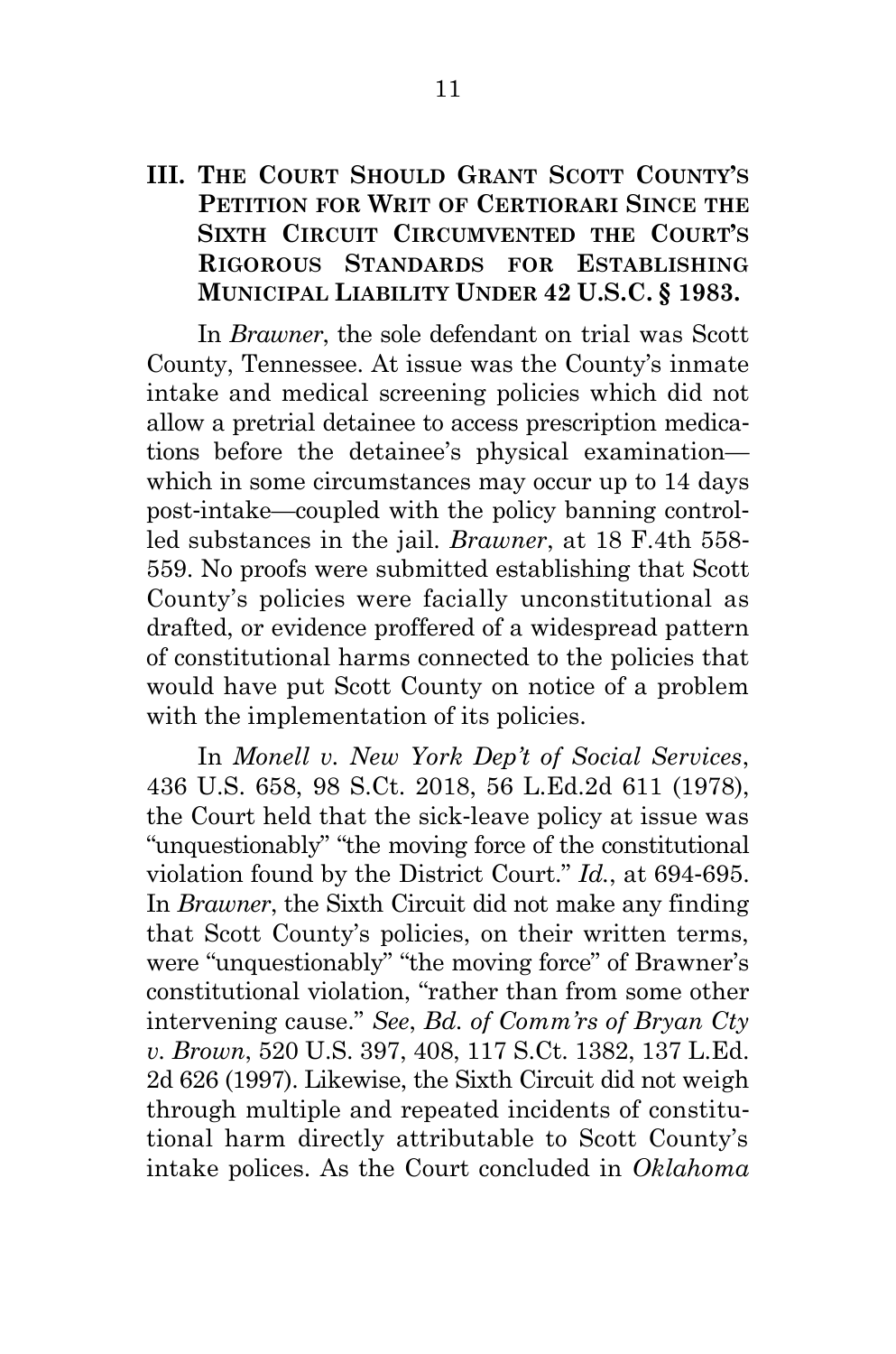#### <span id="page-15-0"></span>**III. THE COURT SHOULD GRANT SCOTT COUNTY'S PETITION FOR WRIT OF CERTIORARI SINCE THE SIXTH CIRCUIT CIRCUMVENTED THE COURT'S RIGOROUS STANDARDS FOR ESTABLISHING MUNICIPAL LIABILITY UNDER 42 U.S.C. § 1983.**

In *Brawner*, the sole defendant on trial was Scott County, Tennessee. At issue was the County's inmate intake and medical screening policies which did not allow a pretrial detainee to access prescription medications before the detainee's physical examination which in some circumstances may occur up to 14 days post-intake—coupled with the policy banning controlled substances in the jail. *Brawner*, at 18 F.4th 558- 559. No proofs were submitted establishing that Scott County's policies were facially unconstitutional as drafted, or evidence proffered of a widespread pattern of constitutional harms connected to the policies that would have put Scott County on notice of a problem with the implementation of its policies.

In *Monell v. New York Dep't of Social Services*, 436 U.S. 658, 98 S.Ct. 2018, 56 L.Ed.2d 611 (1978), the Court held that the sick-leave policy at issue was "unquestionably" "the moving force of the constitutional violation found by the District Court." *Id.*, at 694-695. In *Brawner*, the Sixth Circuit did not make any finding that Scott County's policies, on their written terms, were "unquestionably" "the moving force" of Brawner's constitutional violation, "rather than from some other intervening cause." *See*, *Bd. of Comm'rs of Bryan Cty v. Brown*, 520 U.S. 397, 408, 117 S.Ct. 1382, 137 L.Ed. 2d 626 (1997). Likewise, the Sixth Circuit did not weigh through multiple and repeated incidents of constitutional harm directly attributable to Scott County's intake polices. As the Court concluded in *Oklahoma*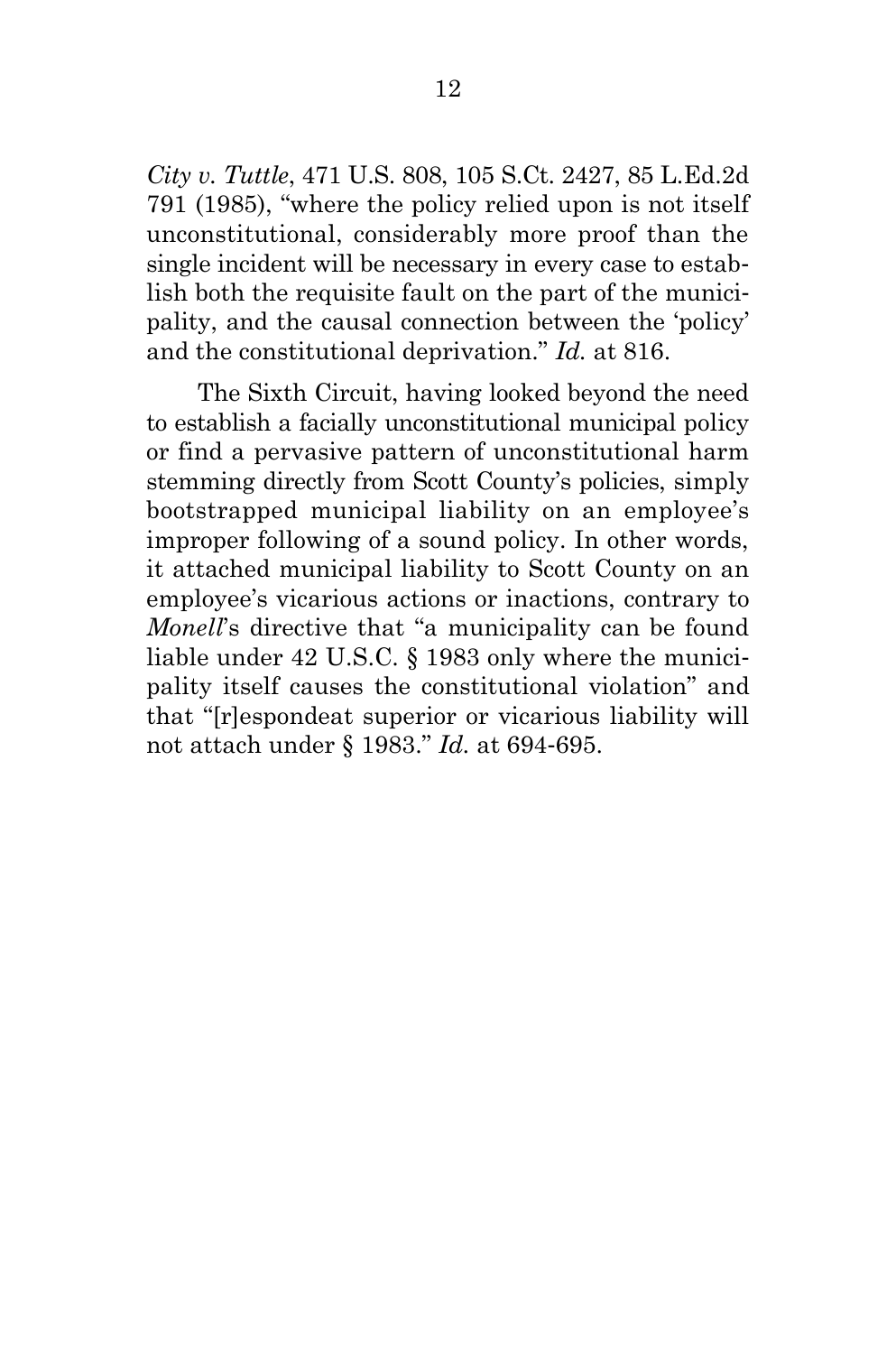*City v. Tuttle*, 471 U.S. 808, 105 S.Ct. 2427, 85 L.Ed.2d 791 (1985), "where the policy relied upon is not itself unconstitutional, considerably more proof than the single incident will be necessary in every case to establish both the requisite fault on the part of the municipality, and the causal connection between the 'policy' and the constitutional deprivation." *Id.* at 816.

The Sixth Circuit, having looked beyond the need to establish a facially unconstitutional municipal policy or find a pervasive pattern of unconstitutional harm stemming directly from Scott County's policies, simply bootstrapped municipal liability on an employee's improper following of a sound policy. In other words, it attached municipal liability to Scott County on an employee's vicarious actions or inactions, contrary to *Monell*'s directive that "a municipality can be found liable under 42 U.S.C. § 1983 only where the municipality itself causes the constitutional violation" and that "[r]espondeat superior or vicarious liability will not attach under § 1983." *Id.* at 694-695.